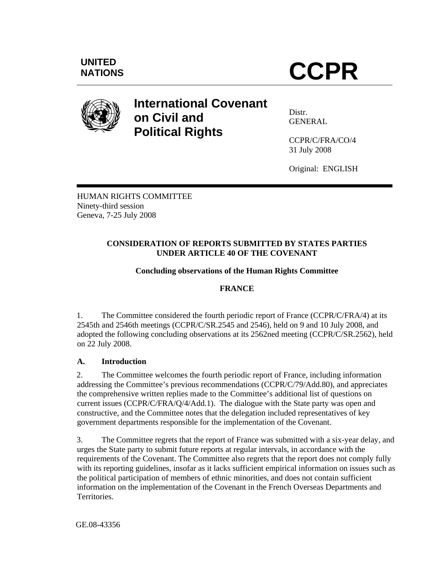

# **International Covenant on Civil and Political Rights**

Distr. GENERAL

CCPR/C/FRA/CO/4 31 July 2008

Original: ENGLISH

HUMAN RIGHTS COMMITTEE Ninety-third session Geneva, 7-25 July 2008

# **CONSIDERATION OF REPORTS SUBMITTED BY STATES PARTIES UNDER ARTICLE 40 OF THE COVENANT**

# **Concluding observations of the Human Rights Committee**

# **FRANCE**

1. The Committee considered the fourth periodic report of France (CCPR/C/FRA/4) at its 2545th and 2546th meetings (CCPR/C/SR.2545 and 2546), held on 9 and 10 July 2008, and adopted the following concluding observations at its 2562ned meeting (CCPR/C/SR.2562), held on 22 July 2008.

# **A. Introduction**

2. The Committee welcomes the fourth periodic report of France, including information addressing the Committee's previous recommendations (CCPR/C/79/Add.80), and appreciates the comprehensive written replies made to the Committee's additional list of questions on current issues (CCPR/C/FRA/Q/4/Add.1). The dialogue with the State party was open and constructive, and the Committee notes that the delegation included representatives of key government departments responsible for the implementation of the Covenant.

3. The Committee regrets that the report of France was submitted with a six-year delay, and urges the State party to submit future reports at regular intervals, in accordance with the requirements of the Covenant. The Committee also regrets that the report does not comply fully with its reporting guidelines, insofar as it lacks sufficient empirical information on issues such as the political participation of members of ethnic minorities, and does not contain sufficient information on the implementation of the Covenant in the French Overseas Departments and Territories.

GE.08-43356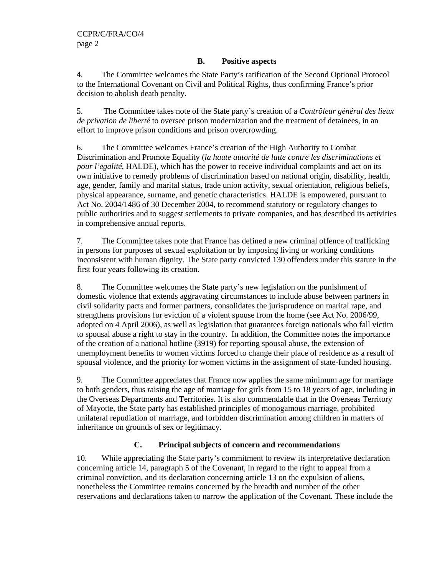# **B. Positive aspects**

4. The Committee welcomes the State Party's ratification of the Second Optional Protocol to the International Covenant on Civil and Political Rights, thus confirming France's prior decision to abolish death penalty.

5. The Committee takes note of the State party's creation of a *Contrôleur général des lieux de privation de liberté* to oversee prison modernization and the treatment of detainees, in an effort to improve prison conditions and prison overcrowding.

6. The Committee welcomes France's creation of the High Authority to Combat Discrimination and Promote Equality (*la haute autorité de lutte contre les discriminations et pour l'egalité*, HALDE), which has the power to receive individual complaints and act on its own initiative to remedy problems of discrimination based on national origin, disability, health, age, gender, family and marital status, trade union activity, sexual orientation, religious beliefs, physical appearance, surname, and genetic characteristics. HALDE is empowered, pursuant to Act No. 2004/1486 of 30 December 2004, to recommend statutory or regulatory changes to public authorities and to suggest settlements to private companies, and has described its activities in comprehensive annual reports.

7. The Committee takes note that France has defined a new criminal offence of trafficking in persons for purposes of sexual exploitation or by imposing living or working conditions inconsistent with human dignity. The State party convicted 130 offenders under this statute in the first four years following its creation.

8. The Committee welcomes the State party's new legislation on the punishment of domestic violence that extends aggravating circumstances to include abuse between partners in civil solidarity pacts and former partners, consolidates the jurisprudence on marital rape, and strengthens provisions for eviction of a violent spouse from the home (see Act No. 2006/99, adopted on 4 April 2006), as well as legislation that guarantees foreign nationals who fall victim to spousal abuse a right to stay in the country. In addition, the Committee notes the importance of the creation of a national hotline (3919) for reporting spousal abuse, the extension of unemployment benefits to women victims forced to change their place of residence as a result of spousal violence, and the priority for women victims in the assignment of state-funded housing.

9. The Committee appreciates that France now applies the same minimum age for marriage to both genders, thus raising the age of marriage for girls from 15 to 18 years of age, including in the Overseas Departments and Territories. It is also commendable that in the Overseas Territory of Mayotte, the State party has established principles of monogamous marriage, prohibited unilateral repudiation of marriage, and forbidden discrimination among children in matters of inheritance on grounds of sex or legitimacy.

# **C. Principal subjects of concern and recommendations**

10. While appreciating the State party's commitment to review its interpretative declaration concerning article 14, paragraph 5 of the Covenant, in regard to the right to appeal from a criminal conviction, and its declaration concerning article 13 on the expulsion of aliens, nonetheless the Committee remains concerned by the breadth and number of the other reservations and declarations taken to narrow the application of the Covenant. These include the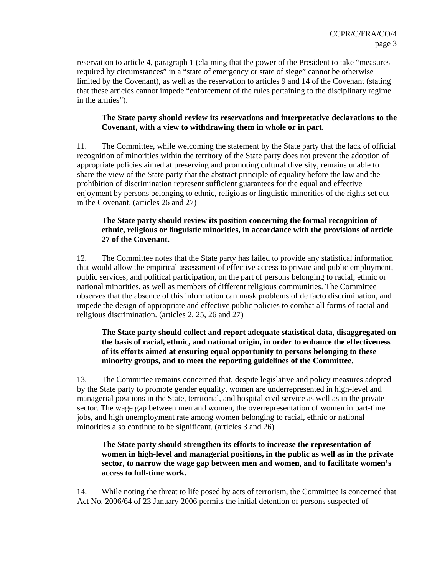reservation to article 4, paragraph 1 (claiming that the power of the President to take "measures required by circumstances" in a "state of emergency or state of siege" cannot be otherwise limited by the Covenant), as well as the reservation to articles 9 and 14 of the Covenant (stating that these articles cannot impede "enforcement of the rules pertaining to the disciplinary regime in the armies").

#### **The State party should review its reservations and interpretative declarations to the Covenant, with a view to withdrawing them in whole or in part.**

11. The Committee, while welcoming the statement by the State party that the lack of official recognition of minorities within the territory of the State party does not prevent the adoption of appropriate policies aimed at preserving and promoting cultural diversity, remains unable to share the view of the State party that the abstract principle of equality before the law and the prohibition of discrimination represent sufficient guarantees for the equal and effective enjoyment by persons belonging to ethnic, religious or linguistic minorities of the rights set out in the Covenant. (articles 26 and 27)

# **The State party should review its position concerning the formal recognition of ethnic, religious or linguistic minorities, in accordance with the provisions of article 27 of the Covenant.**

12. The Committee notes that the State party has failed to provide any statistical information that would allow the empirical assessment of effective access to private and public employment, public services, and political participation, on the part of persons belonging to racial, ethnic or national minorities, as well as members of different religious communities. The Committee observes that the absence of this information can mask problems of de facto discrimination, and impede the design of appropriate and effective public policies to combat all forms of racial and religious discrimination. (articles 2, 25, 26 and 27)

#### **The State party should collect and report adequate statistical data, disaggregated on the basis of racial, ethnic, and national origin, in order to enhance the effectiveness of its efforts aimed at ensuring equal opportunity to persons belonging to these minority groups, and to meet the reporting guidelines of the Committee.**

13. The Committee remains concerned that, despite legislative and policy measures adopted by the State party to promote gender equality, women are underrepresented in high-level and managerial positions in the State, territorial, and hospital civil service as well as in the private sector. The wage gap between men and women, the overrepresentation of women in part-time jobs, and high unemployment rate among women belonging to racial, ethnic or national minorities also continue to be significant. (articles 3 and 26)

# **The State party should strengthen its efforts to increase the representation of women in high-level and managerial positions, in the public as well as in the private sector, to narrow the wage gap between men and women, and to facilitate women's access to full-time work.**

14. While noting the threat to life posed by acts of terrorism, the Committee is concerned that Act No. 2006/64 of 23 January 2006 permits the initial detention of persons suspected of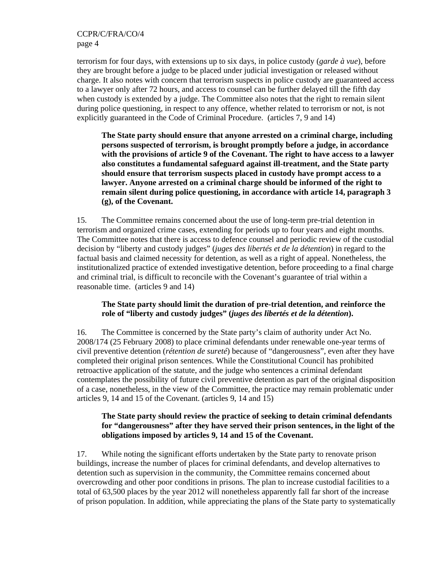CCPR/C/FRA/CO/4 page 4

terrorism for four days, with extensions up to six days, in police custody (*garde à vue*), before they are brought before a judge to be placed under judicial investigation or released without charge. It also notes with concern that terrorism suspects in police custody are guaranteed access to a lawyer only after 72 hours, and access to counsel can be further delayed till the fifth day when custody is extended by a judge. The Committee also notes that the right to remain silent during police questioning, in respect to any offence, whether related to terrorism or not, is not explicitly guaranteed in the Code of Criminal Procedure. (articles 7, 9 and 14)

**The State party should ensure that anyone arrested on a criminal charge, including persons suspected of terrorism, is brought promptly before a judge, in accordance with the provisions of article 9 of the Covenant. The right to have access to a lawyer also constitutes a fundamental safeguard against ill-treatment, and the State party should ensure that terrorism suspects placed in custody have prompt access to a lawyer. Anyone arrested on a criminal charge should be informed of the right to remain silent during police questioning, in accordance with article 14, paragraph 3 (g), of the Covenant.** 

15. The Committee remains concerned about the use of long-term pre-trial detention in terrorism and organized crime cases, extending for periods up to four years and eight months. The Committee notes that there is access to defence counsel and periodic review of the custodial decision by "liberty and custody judges" (*juges des libertés et de la détention*) in regard to the factual basis and claimed necessity for detention, as well as a right of appeal. Nonetheless, the institutionalized practice of extended investigative detention, before proceeding to a final charge and criminal trial, is difficult to reconcile with the Covenant's guarantee of trial within a reasonable time. (articles 9 and 14)

#### **The State party should limit the duration of pre-trial detention, and reinforce the role of "liberty and custody judges" (***juges des libertés et de la détention***).**

16. The Committee is concerned by the State party's claim of authority under Act No. 2008/174 (25 February 2008) to place criminal defendants under renewable one-year terms of civil preventive detention (*rétention de sureté*) because of "dangerousness", even after they have completed their original prison sentences. While the Constitutional Council has prohibited retroactive application of the statute, and the judge who sentences a criminal defendant contemplates the possibility of future civil preventive detention as part of the original disposition of a case, nonetheless, in the view of the Committee, the practice may remain problematic under articles 9, 14 and 15 of the Covenant. (articles 9, 14 and 15)

#### **The State party should review the practice of seeking to detain criminal defendants for "dangerousness" after they have served their prison sentences, in the light of the obligations imposed by articles 9, 14 and 15 of the Covenant.**

17. While noting the significant efforts undertaken by the State party to renovate prison buildings, increase the number of places for criminal defendants, and develop alternatives to detention such as supervision in the community, the Committee remains concerned about overcrowding and other poor conditions in prisons. The plan to increase custodial facilities to a total of 63,500 places by the year 2012 will nonetheless apparently fall far short of the increase of prison population. In addition, while appreciating the plans of the State party to systematically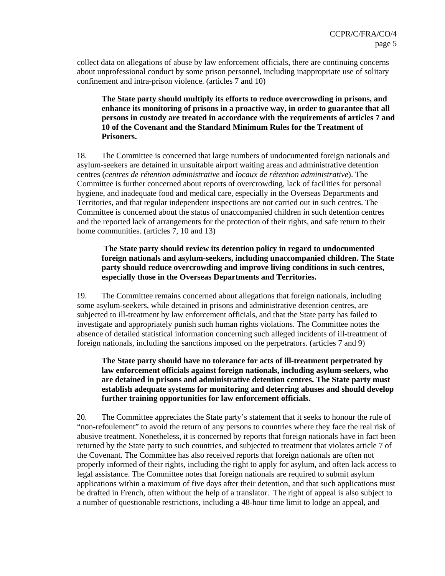collect data on allegations of abuse by law enforcement officials, there are continuing concerns about unprofessional conduct by some prison personnel, including inappropriate use of solitary confinement and intra-prison violence. (articles 7 and 10)

**The State party should multiply its efforts to reduce overcrowding in prisons, and enhance its monitoring of prisons in a proactive way, in order to guarantee that all persons in custody are treated in accordance with the requirements of articles 7 and 10 of the Covenant and the Standard Minimum Rules for the Treatment of Prisoners.** 

18. The Committee is concerned that large numbers of undocumented foreign nationals and asylum-seekers are detained in unsuitable airport waiting areas and administrative detention centres (*centres de rétention administrative* and *locaux de rétention administrative*). The Committee is further concerned about reports of overcrowding, lack of facilities for personal hygiene, and inadequate food and medical care, especially in the Overseas Departments and Territories, and that regular independent inspections are not carried out in such centres. The Committee is concerned about the status of unaccompanied children in such detention centres and the reported lack of arrangements for the protection of their rights, and safe return to their home communities. (articles 7, 10 and 13)

# **The State party should review its detention policy in regard to undocumented foreign nationals and asylum-seekers, including unaccompanied children. The State party should reduce overcrowding and improve living conditions in such centres, especially those in the Overseas Departments and Territories.**

19. The Committee remains concerned about allegations that foreign nationals, including some asylum-seekers, while detained in prisons and administrative detention centres, are subjected to ill-treatment by law enforcement officials, and that the State party has failed to investigate and appropriately punish such human rights violations. The Committee notes the absence of detailed statistical information concerning such alleged incidents of ill-treatment of foreign nationals, including the sanctions imposed on the perpetrators. (articles 7 and 9)

# **The State party should have no tolerance for acts of ill-treatment perpetrated by law enforcement officials against foreign nationals, including asylum-seekers, who are detained in prisons and administrative detention centres. The State party must establish adequate systems for monitoring and deterring abuses and should develop further training opportunities for law enforcement officials.**

20. The Committee appreciates the State party's statement that it seeks to honour the rule of "non-refoulement" to avoid the return of any persons to countries where they face the real risk of abusive treatment. Nonetheless, it is concerned by reports that foreign nationals have in fact been returned by the State party to such countries, and subjected to treatment that violates article 7 of the Covenant. The Committee has also received reports that foreign nationals are often not properly informed of their rights, including the right to apply for asylum, and often lack access to legal assistance. The Committee notes that foreign nationals are required to submit asylum applications within a maximum of five days after their detention, and that such applications must be drafted in French, often without the help of a translator. The right of appeal is also subject to a number of questionable restrictions, including a 48-hour time limit to lodge an appeal, and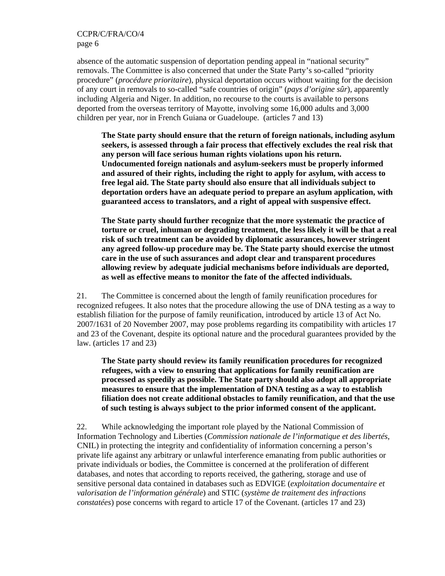CCPR/C/FRA/CO/4 page 6

absence of the automatic suspension of deportation pending appeal in "national security" removals. The Committee is also concerned that under the State Party's so-called "priority procedure" (*procédure prioritaire*), physical deportation occurs without waiting for the decision of any court in removals to so-called "safe countries of origin" (*pays d'origine sûr*), apparently including Algeria and Niger. In addition, no recourse to the courts is available to persons deported from the overseas territory of Mayotte, involving some 16,000 adults and 3,000 children per year, nor in French Guiana or Guadeloupe. (articles 7 and 13)

**The State party should ensure that the return of foreign nationals, including asylum seekers, is assessed through a fair process that effectively excludes the real risk that any person will face serious human rights violations upon his return. Undocumented foreign nationals and asylum-seekers must be properly informed and assured of their rights, including the right to apply for asylum, with access to free legal aid. The State party should also ensure that all individuals subject to deportation orders have an adequate period to prepare an asylum application, with guaranteed access to translators, and a right of appeal with suspensive effect.** 

**The State party should further recognize that the more systematic the practice of torture or cruel, inhuman or degrading treatment, the less likely it will be that a real risk of such treatment can be avoided by diplomatic assurances, however stringent any agreed follow-up procedure may be. The State party should exercise the utmost care in the use of such assurances and adopt clear and transparent procedures allowing review by adequate judicial mechanisms before individuals are deported, as well as effective means to monitor the fate of the affected individuals.** 

21. The Committee is concerned about the length of family reunification procedures for recognized refugees. It also notes that the procedure allowing the use of DNA testing as a way to establish filiation for the purpose of family reunification, introduced by article 13 of Act No. 2007/1631 of 20 November 2007, may pose problems regarding its compatibility with articles 17 and 23 of the Covenant, despite its optional nature and the procedural guarantees provided by the law. (articles 17 and 23)

**The State party should review its family reunification procedures for recognized refugees, with a view to ensuring that applications for family reunification are processed as speedily as possible. The State party should also adopt all appropriate measures to ensure that the implementation of DNA testing as a way to establish filiation does not create additional obstacles to family reunification, and that the use of such testing is always subject to the prior informed consent of the applicant.** 

22. While acknowledging the important role played by the National Commission of Information Technology and Liberties (*Commission nationale de l'informatique et des libertés*, CNIL) in protecting the integrity and confidentiality of information concerning a person's private life against any arbitrary or unlawful interference emanating from public authorities or private individuals or bodies, the Committee is concerned at the proliferation of different databases, and notes that according to reports received, the gathering, storage and use of sensitive personal data contained in databases such as EDVIGE (*exploitation documentaire et valorisation de l'information générale*) and STIC (*système de traitement des infractions constatées*) pose concerns with regard to article 17 of the Covenant. (articles 17 and 23)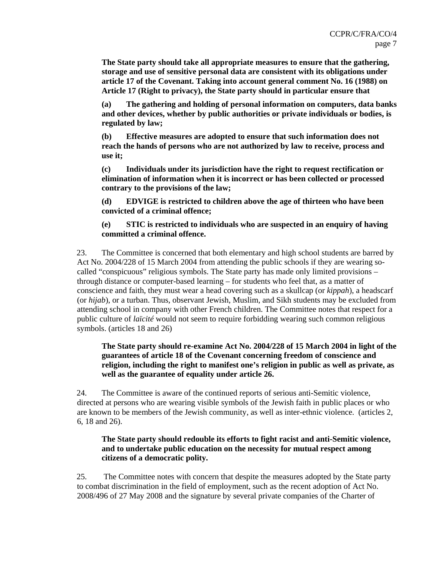**The State party should take all appropriate measures to ensure that the gathering, storage and use of sensitive personal data are consistent with its obligations under article 17 of the Covenant. Taking into account general comment No. 16 (1988) on Article 17 (Right to privacy), the State party should in particular ensure that** 

**(a) The gathering and holding of personal information on computers, data banks and other devices, whether by public authorities or private individuals or bodies, is regulated by law;** 

**(b) Effective measures are adopted to ensure that such information does not reach the hands of persons who are not authorized by law to receive, process and use it;** 

**(c) Individuals under its jurisdiction have the right to request rectification or elimination of information when it is incorrect or has been collected or processed contrary to the provisions of the law;** 

**(d) EDVIGE is restricted to children above the age of thirteen who have been convicted of a criminal offence;** 

# **(e) STIC is restricted to individuals who are suspected in an enquiry of having committed a criminal offence.**

23. The Committee is concerned that both elementary and high school students are barred by Act No. 2004/228 of 15 March 2004 from attending the public schools if they are wearing socalled "conspicuous" religious symbols. The State party has made only limited provisions – through distance or computer-based learning – for students who feel that, as a matter of conscience and faith, they must wear a head covering such as a skullcap (or *kippah*), a headscarf (or *hijab*), or a turban. Thus, observant Jewish, Muslim, and Sikh students may be excluded from attending school in company with other French children. The Committee notes that respect for a public culture of *laïcité* would not seem to require forbidding wearing such common religious symbols. (articles 18 and 26)

## **The State party should re-examine Act No. 2004/228 of 15 March 2004 in light of the guarantees of article 18 of the Covenant concerning freedom of conscience and religion, including the right to manifest one's religion in public as well as private, as well as the guarantee of equality under article 26.**

24. The Committee is aware of the continued reports of serious anti-Semitic violence, directed at persons who are wearing visible symbols of the Jewish faith in public places or who are known to be members of the Jewish community, as well as inter-ethnic violence. (articles 2, 6, 18 and 26).

# **The State party should redouble its efforts to fight racist and anti-Semitic violence, and to undertake public education on the necessity for mutual respect among citizens of a democratic polity.**

25. The Committee notes with concern that despite the measures adopted by the State party to combat discrimination in the field of employment, such as the recent adoption of Act No. 2008/496 of 27 May 2008 and the signature by several private companies of the Charter of